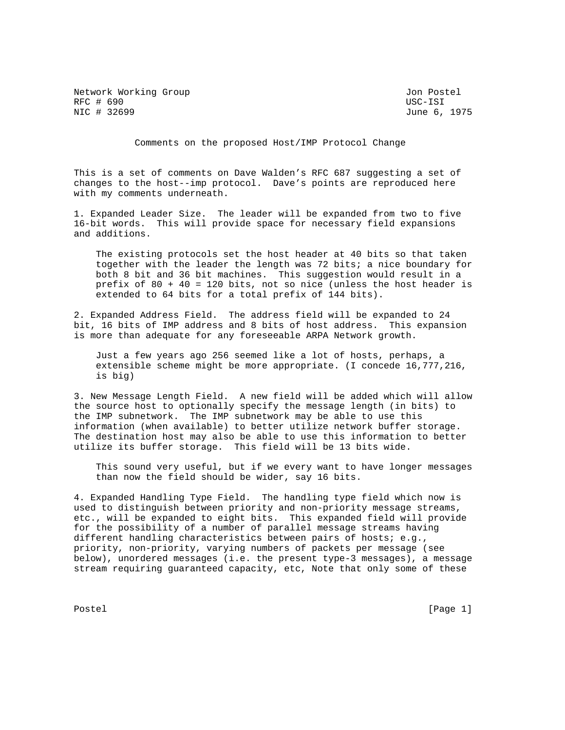Network Working Group Jon Postel RFC # 690 USC-ISI USC + 1 ACC # 690 USC-ISI USC + 1 ACC # 2699 USC + 27 USC + 27 USC + 27 USC + 27 USC + 27 USC + 27 USC + 27 USC + 27 USC + 27 USC + 27 USC + 27 USC + 27 USC + 27 USC + 27 USC + 27 USC + 27 USC + 27 USC +

June 6, 1975

Comments on the proposed Host/IMP Protocol Change

This is a set of comments on Dave Walden's RFC 687 suggesting a set of changes to the host--imp protocol. Dave's points are reproduced here with my comments underneath.

1. Expanded Leader Size. The leader will be expanded from two to five 16-bit words. This will provide space for necessary field expansions and additions.

 The existing protocols set the host header at 40 bits so that taken together with the leader the length was 72 bits; a nice boundary for both 8 bit and 36 bit machines. This suggestion would result in a prefix of 80 + 40 = 120 bits, not so nice (unless the host header is extended to 64 bits for a total prefix of 144 bits).

2. Expanded Address Field. The address field will be expanded to 24 bit, 16 bits of IMP address and 8 bits of host address. This expansion is more than adequate for any foreseeable ARPA Network growth.

 Just a few years ago 256 seemed like a lot of hosts, perhaps, a extensible scheme might be more appropriate. (I concede 16,777,216, is big)

3. New Message Length Field. A new field will be added which will allow the source host to optionally specify the message length (in bits) to the IMP subnetwork. The IMP subnetwork may be able to use this information (when available) to better utilize network buffer storage. The destination host may also be able to use this information to better utilize its buffer storage. This field will be 13 bits wide.

 This sound very useful, but if we every want to have longer messages than now the field should be wider, say 16 bits.

4. Expanded Handling Type Field. The handling type field which now is used to distinguish between priority and non-priority message streams, etc., will be expanded to eight bits. This expanded field will provide for the possibility of a number of parallel message streams having different handling characteristics between pairs of hosts; e.g., priority, non-priority, varying numbers of packets per message (see below), unordered messages (i.e. the present type-3 messages), a message stream requiring guaranteed capacity, etc, Note that only some of these

Postel [Page 1] [Page 1]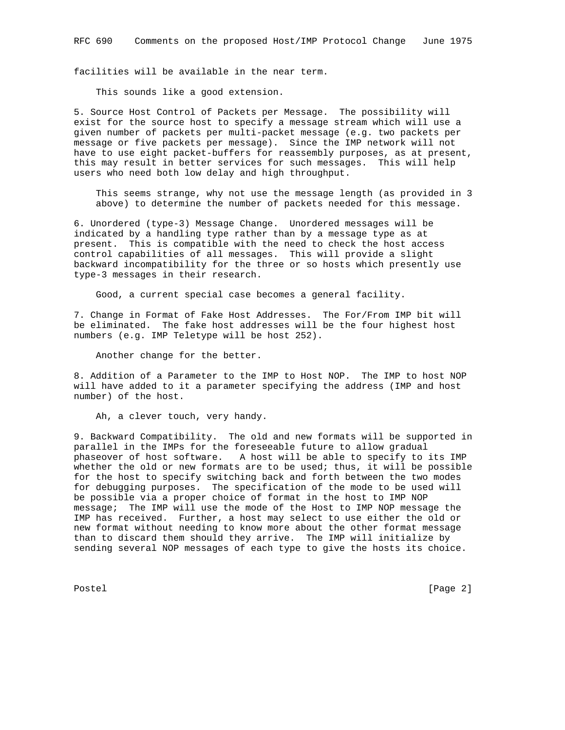facilities will be available in the near term.

This sounds like a good extension.

5. Source Host Control of Packets per Message. The possibility will exist for the source host to specify a message stream which will use a given number of packets per multi-packet message (e.g. two packets per message or five packets per message). Since the IMP network will not have to use eight packet-buffers for reassembly purposes, as at present, this may result in better services for such messages. This will help users who need both low delay and high throughput.

 This seems strange, why not use the message length (as provided in 3 above) to determine the number of packets needed for this message.

6. Unordered (type-3) Message Change. Unordered messages will be indicated by a handling type rather than by a message type as at present. This is compatible with the need to check the host access control capabilities of all messages. This will provide a slight backward incompatibility for the three or so hosts which presently use type-3 messages in their research.

Good, a current special case becomes a general facility.

7. Change in Format of Fake Host Addresses. The For/From IMP bit will be eliminated. The fake host addresses will be the four highest host numbers (e.g. IMP Teletype will be host 252).

Another change for the better.

8. Addition of a Parameter to the IMP to Host NOP. The IMP to host NOP will have added to it a parameter specifying the address (IMP and host number) of the host.

Ah, a clever touch, very handy.

9. Backward Compatibility. The old and new formats will be supported in parallel in the IMPs for the foreseeable future to allow gradual phaseover of host software. A host will be able to specify to its IMP whether the old or new formats are to be used; thus, it will be possible for the host to specify switching back and forth between the two modes for debugging purposes. The specification of the mode to be used will be possible via a proper choice of format in the host to IMP NOP message; The IMP will use the mode of the Host to IMP NOP message the IMP has received. Further, a host may select to use either the old or new format without needing to know more about the other format message than to discard them should they arrive. The IMP will initialize by sending several NOP messages of each type to give the hosts its choice.

Postel [Page 2]